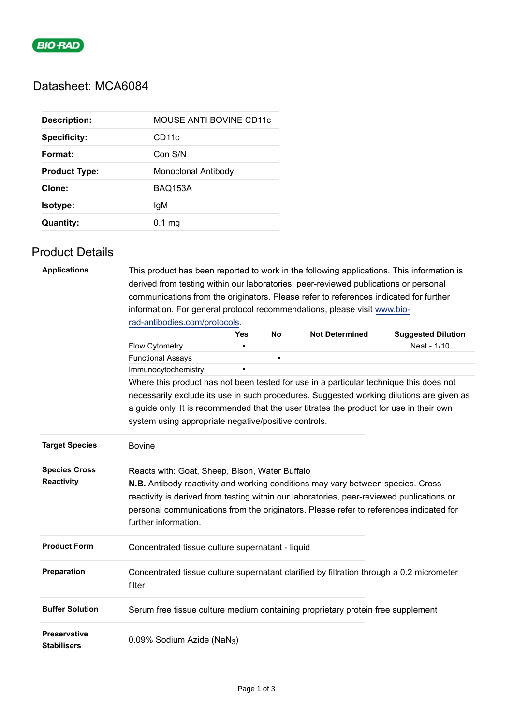

# Datasheet: MCA6084

| <b>Description:</b>  | MOUSE ANTI BOVINE CD11c |
|----------------------|-------------------------|
| <b>Specificity:</b>  | CD <sub>11</sub> c      |
| Format:              | Con S/N                 |
| <b>Product Type:</b> | Monoclonal Antibody     |
| Clone:               | <b>BAQ153A</b>          |
| Isotype:             | lgM                     |
| <b>Quantity:</b>     | $0.1 \text{ mg}$        |

## Product Details

| <b>Applications</b>                       | This product has been reported to work in the following applications. This information is<br>derived from testing within our laboratories, peer-reviewed publications or personal<br>communications from the originators. Please refer to references indicated for further<br>information. For general protocol recommendations, please visit www.bio- |     |    |                       |                                          |  |  |  |
|-------------------------------------------|--------------------------------------------------------------------------------------------------------------------------------------------------------------------------------------------------------------------------------------------------------------------------------------------------------------------------------------------------------|-----|----|-----------------------|------------------------------------------|--|--|--|
|                                           | rad-antibodies.com/protocols.                                                                                                                                                                                                                                                                                                                          |     |    | <b>Not Determined</b> |                                          |  |  |  |
|                                           | <b>Flow Cytometry</b>                                                                                                                                                                                                                                                                                                                                  | Yes | No |                       | <b>Suggested Dilution</b><br>Neat - 1/10 |  |  |  |
|                                           | <b>Functional Assays</b>                                                                                                                                                                                                                                                                                                                               |     |    |                       |                                          |  |  |  |
|                                           | Immunocytochemistry                                                                                                                                                                                                                                                                                                                                    |     |    |                       |                                          |  |  |  |
|                                           |                                                                                                                                                                                                                                                                                                                                                        |     |    |                       |                                          |  |  |  |
|                                           | Where this product has not been tested for use in a particular technique this does not<br>necessarily exclude its use in such procedures. Suggested working dilutions are given as                                                                                                                                                                     |     |    |                       |                                          |  |  |  |
|                                           |                                                                                                                                                                                                                                                                                                                                                        |     |    |                       |                                          |  |  |  |
|                                           | a guide only. It is recommended that the user titrates the product for use in their own<br>system using appropriate negative/positive controls.                                                                                                                                                                                                        |     |    |                       |                                          |  |  |  |
|                                           |                                                                                                                                                                                                                                                                                                                                                        |     |    |                       |                                          |  |  |  |
| <b>Target Species</b>                     | <b>Bovine</b>                                                                                                                                                                                                                                                                                                                                          |     |    |                       |                                          |  |  |  |
| <b>Species Cross</b>                      | Reacts with: Goat, Sheep, Bison, Water Buffalo                                                                                                                                                                                                                                                                                                         |     |    |                       |                                          |  |  |  |
| <b>Reactivity</b>                         | <b>N.B.</b> Antibody reactivity and working conditions may vary between species. Cross<br>reactivity is derived from testing within our laboratories, peer-reviewed publications or<br>personal communications from the originators. Please refer to references indicated for<br>further information.                                                  |     |    |                       |                                          |  |  |  |
| <b>Product Form</b>                       | Concentrated tissue culture supernatant - liquid                                                                                                                                                                                                                                                                                                       |     |    |                       |                                          |  |  |  |
| Preparation                               | Concentrated tissue culture supernatant clarified by filtration through a 0.2 micrometer<br>filter                                                                                                                                                                                                                                                     |     |    |                       |                                          |  |  |  |
| <b>Buffer Solution</b>                    | Serum free tissue culture medium containing proprietary protein free supplement                                                                                                                                                                                                                                                                        |     |    |                       |                                          |  |  |  |
| <b>Preservative</b><br><b>Stabilisers</b> | 0.09% Sodium Azide (NaN <sub>3</sub> )                                                                                                                                                                                                                                                                                                                 |     |    |                       |                                          |  |  |  |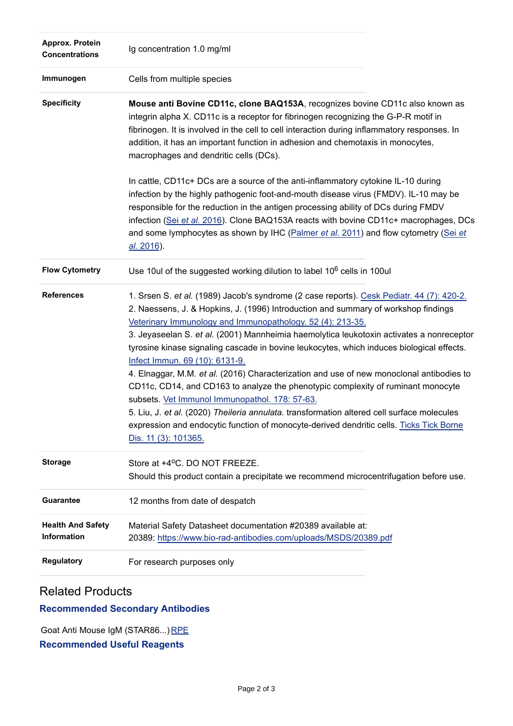| Approx. Protein<br><b>Concentrations</b>       | Ig concentration 1.0 mg/ml                                                                                                                                                                                                                                                                                                                                                                                                                                                                                                                                                                                                                                                                                                                                                                                                                                                                                                  |
|------------------------------------------------|-----------------------------------------------------------------------------------------------------------------------------------------------------------------------------------------------------------------------------------------------------------------------------------------------------------------------------------------------------------------------------------------------------------------------------------------------------------------------------------------------------------------------------------------------------------------------------------------------------------------------------------------------------------------------------------------------------------------------------------------------------------------------------------------------------------------------------------------------------------------------------------------------------------------------------|
| Immunogen                                      | Cells from multiple species                                                                                                                                                                                                                                                                                                                                                                                                                                                                                                                                                                                                                                                                                                                                                                                                                                                                                                 |
| <b>Specificity</b>                             | Mouse anti Bovine CD11c, clone BAQ153A, recognizes bovine CD11c also known as<br>integrin alpha X. CD11c is a receptor for fibrinogen recognizing the G-P-R motif in<br>fibrinogen. It is involved in the cell to cell interaction during inflammatory responses. In<br>addition, it has an important function in adhesion and chemotaxis in monocytes,<br>macrophages and dendritic cells (DCs).                                                                                                                                                                                                                                                                                                                                                                                                                                                                                                                           |
|                                                | In cattle, CD11c+ DCs are a source of the anti-inflammatory cytokine IL-10 during<br>infection by the highly pathogenic foot-and-mouth disease virus (FMDV). IL-10 may be<br>responsible for the reduction in the antigen processing ability of DCs during FMDV<br>infection (Sei et al. 2016). Clone BAQ153A reacts with bovine CD11c+ macrophages, DCs<br>and some lymphocytes as shown by IHC (Palmer et al. 2011) and flow cytometry (Sei et<br>al. 2016).                                                                                                                                                                                                                                                                                                                                                                                                                                                              |
| <b>Flow Cytometry</b>                          | Use 10ul of the suggested working dilution to label 10 <sup>6</sup> cells in 100ul                                                                                                                                                                                                                                                                                                                                                                                                                                                                                                                                                                                                                                                                                                                                                                                                                                          |
| <b>References</b>                              | 1. Srsen S. et al. (1989) Jacob's syndrome (2 case reports). Cesk Pediatr. 44 (7): 420-2.<br>2. Naessens, J. & Hopkins, J. (1996) Introduction and summary of workshop findings<br>Veterinary Immunology and Immunopathology. 52 (4): 213-35.<br>3. Jeyaseelan S. et al. (2001) Mannheimia haemolytica leukotoxin activates a nonreceptor<br>tyrosine kinase signaling cascade in bovine leukocytes, which induces biological effects.<br>Infect Immun. 69 (10): 6131-9.<br>4. Elnaggar, M.M. et al. (2016) Characterization and use of new monoclonal antibodies to<br>CD11c, CD14, and CD163 to analyze the phenotypic complexity of ruminant monocyte<br>subsets. Vet Immunol Immunopathol. 178: 57-63.<br>5. Liu, J. et al. (2020) Theileria annulata. transformation altered cell surface molecules<br>expression and endocytic function of monocyte-derived dendritic cells. Ticks Tick Borne<br>Dis. 11 (3): 101365. |
| <b>Storage</b>                                 | Store at +4°C. DO NOT FREEZE.<br>Should this product contain a precipitate we recommend microcentrifugation before use.                                                                                                                                                                                                                                                                                                                                                                                                                                                                                                                                                                                                                                                                                                                                                                                                     |
| Guarantee                                      | 12 months from date of despatch                                                                                                                                                                                                                                                                                                                                                                                                                                                                                                                                                                                                                                                                                                                                                                                                                                                                                             |
| <b>Health And Safety</b><br><b>Information</b> | Material Safety Datasheet documentation #20389 available at:<br>20389: https://www.bio-rad-antibodies.com/uploads/MSDS/20389.pdf                                                                                                                                                                                                                                                                                                                                                                                                                                                                                                                                                                                                                                                                                                                                                                                            |
| <b>Regulatory</b>                              | For research purposes only                                                                                                                                                                                                                                                                                                                                                                                                                                                                                                                                                                                                                                                                                                                                                                                                                                                                                                  |

# Related Products

### **Recommended Secondary Antibodies**

Goat Anti Mouse IgM (STAR86...) [RPE](https://www.bio-rad-antibodies.com/polyclonal/mouse-igm-antibody-star86.html?f=rpe)

### **Recommended Useful Reagents**